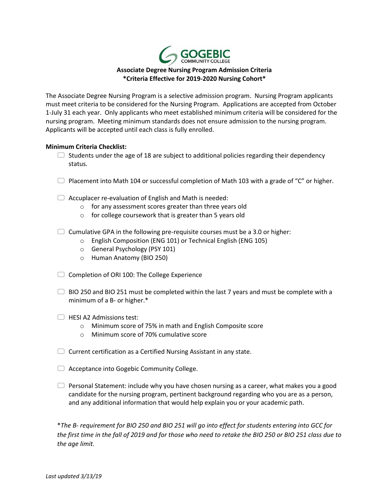

## **Associate Degree Nursing Program Admission Criteria \*Criteria Effective for 2019-2020 Nursing Cohort\***

The Associate Degree Nursing Program is a selective admission program. Nursing Program applicants must meet criteria to be considered for the Nursing Program. Applications are accepted from October 1-July 31 each year. Only applicants who meet established minimum criteria will be considered for the nursing program. Meeting minimum standards does not ensure admission to the nursing program. Applicants will be accepted until each class is fully enrolled.

## **Minimum Criteria Checklist:**

- $\Box$  Students under the age of 18 are subject to additional policies regarding their dependency status.
- $\Box$  Placement into Math 104 or successful completion of Math 103 with a grade of "C" or higher.
- $\Box$  Accuplacer re-evaluation of English and Math is needed:
	- o for any assessment scores greater than three years old
	- o for college coursework that is greater than 5 years old
- $\Box$  Cumulative GPA in the following pre-requisite courses must be a 3.0 or higher:
	- o English Composition (ENG 101) or Technical English (ENG 105)
	- o General Psychology (PSY 101)
	- o Human Anatomy (BIO 250)
- $\Box$  Completion of ORI 100: The College Experience
- $\Box$  BIO 250 and BIO 251 must be completed within the last 7 years and must be complete with a minimum of a B- or higher.\*
- HESI A2 Admissions test:
	- o Minimum score of 75% in math and English Composite score
	- o Minimum score of 70% cumulative score
- $\Box$  Current certification as a Certified Nursing Assistant in any state.
- $\Box$  Acceptance into Gogebic Community College.
- $\Box$  Personal Statement: include why you have chosen nursing as a career, what makes you a good candidate for the nursing program, pertinent background regarding who you are as a person, and any additional information that would help explain you or your academic path.

\**The B- requirement for BIO 250 and BIO 251 will go into effect for students entering into GCC for the first time in the fall of 2019 and for those who need to retake the BIO 250 or BIO 251 class due to the age limit.*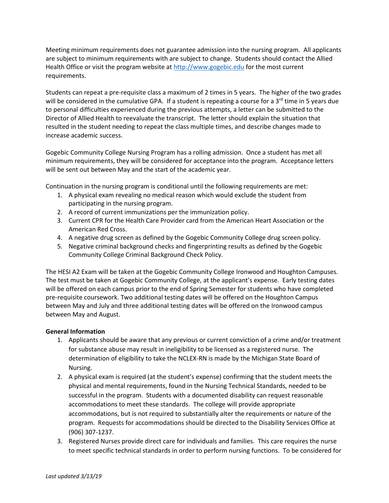Meeting minimum requirements does not guarantee admission into the nursing program. All applicants are subject to minimum requirements with are subject to change. Students should contact the Allied Health Office or visit the program website at [http://www.gogebic.edu](http://www.gogebic.edu/) for the most current requirements.

Students can repeat a pre-requisite class a maximum of 2 times in 5 years. The higher of the two grades will be considered in the cumulative GPA. If a student is repeating a course for a 3<sup>rd</sup> time in 5 years due to personal difficulties experienced during the previous attempts, a letter can be submitted to the Director of Allied Health to reevaluate the transcript. The letter should explain the situation that resulted in the student needing to repeat the class multiple times, and describe changes made to increase academic success.

Gogebic Community College Nursing Program has a rolling admission. Once a student has met all minimum requirements, they will be considered for acceptance into the program. Acceptance letters will be sent out between May and the start of the academic year.

Continuation in the nursing program is conditional until the following requirements are met:

- 1. A physical exam revealing no medical reason which would exclude the student from participating in the nursing program.
- 2. A record of current immunizations per the immunization policy.
- 3. Current CPR for the Health Care Provider card from the American Heart Association or the American Red Cross.
- 4. A negative drug screen as defined by the Gogebic Community College drug screen policy.
- 5. Negative criminal background checks and fingerprinting results as defined by the Gogebic Community College Criminal Background Check Policy.

The HESI A2 Exam will be taken at the Gogebic Community College Ironwood and Houghton Campuses. The test must be taken at Gogebic Community College, at the applicant's expense. Early testing dates will be offered on each campus prior to the end of Spring Semester for students who have completed pre-requisite coursework. Two additional testing dates will be offered on the Houghton Campus between May and July and three additional testing dates will be offered on the Ironwood campus between May and August.

## **General Information**

- 1. Applicants should be aware that any previous or current conviction of a crime and/or treatment for substance abuse may result in ineligibility to be licensed as a registered nurse. The determination of eligibility to take the NCLEX-RN is made by the Michigan State Board of Nursing.
- 2. A physical exam is required (at the student's expense) confirming that the student meets the physical and mental requirements, found in the Nursing Technical Standards, needed to be successful in the program. Students with a documented disability can request reasonable accommodations to meet these standards. The college will provide appropriate accommodations, but is not required to substantially alter the requirements or nature of the program. Requests for accommodations should be directed to the Disability Services Office at (906) 307-1237.
- 3. Registered Nurses provide direct care for individuals and families. This care requires the nurse to meet specific technical standards in order to perform nursing functions. To be considered for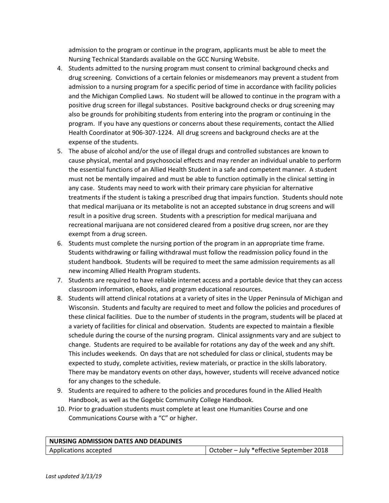admission to the program or continue in the program, applicants must be able to meet the Nursing Technical Standards available on the GCC Nursing Website.

- 4. Students admitted to the nursing program must consent to criminal background checks and drug screening. Convictions of a certain felonies or misdemeanors may prevent a student from admission to a nursing program for a specific period of time in accordance with facility policies and the Michigan Complied Laws. No student will be allowed to continue in the program with a positive drug screen for illegal substances. Positive background checks or drug screening may also be grounds for prohibiting students from entering into the program or continuing in the program. If you have any questions or concerns about these requirements, contact the Allied Health Coordinator at 906-307-1224. All drug screens and background checks are at the expense of the students.
- 5. The abuse of alcohol and/or the use of illegal drugs and controlled substances are known to cause physical, mental and psychosocial effects and may render an individual unable to perform the essential functions of an Allied Health Student in a safe and competent manner. A student must not be mentally impaired and must be able to function optimally in the clinical setting in any case. Students may need to work with their primary care physician for alternative treatments if the student is taking a prescribed drug that impairs function. Students should note that medical marijuana or its metabolite is not an accepted substance in drug screens and will result in a positive drug screen. Students with a prescription for medical marijuana and recreational marijuana are not considered cleared from a positive drug screen, nor are they exempt from a drug screen.
- 6. Students must complete the nursing portion of the program in an appropriate time frame. Students withdrawing or failing withdrawal must follow the readmission policy found in the student handbook. Students will be required to meet the same admission requirements as all new incoming Allied Health Program students.
- 7. Students are required to have reliable internet access and a portable device that they can access classroom information, eBooks, and program educational resources.
- 8. Students will attend clinical rotations at a variety of sites in the Upper Peninsula of Michigan and Wisconsin. Students and faculty are required to meet and follow the policies and procedures of these clinical facilities. Due to the number of students in the program, students will be placed at a variety of facilities for clinical and observation. Students are expected to maintain a flexible schedule during the course of the nursing program. Clinical assignments vary and are subject to change. Students are required to be available for rotations any day of the week and any shift. This includes weekends. On days that are not scheduled for class or clinical, students may be expected to study, complete activities, review materials, or practice in the skills laboratory. There may be mandatory events on other days, however, students will receive advanced notice for any changes to the schedule.
- 9. Students are required to adhere to the policies and procedures found in the Allied Health Handbook, as well as the Gogebic Community College Handbook.
- 10. Prior to graduation students must complete at least one Humanities Course and one Communications Course with a "C" or higher.

| NURSING ADMISSION DATES AND DEADLINES |                                          |
|---------------------------------------|------------------------------------------|
| Applications accepted                 | October – July *effective September 2018 |